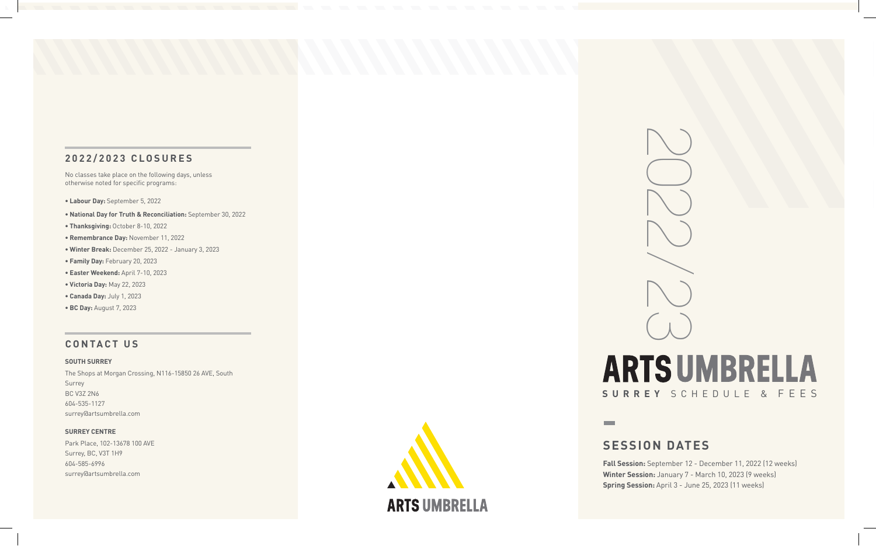# **2022/2023 CLOSURES**

No classes take place on the following days, unless otherwise noted for specific programs:

**• Labour Day:** September 5, 2022

- **National Day for Truth & Reconciliation:** September 30, 2022
- **Thanksgiving:** October 8-10, 2022
- **Remembrance Day:** November 11, 2022
- **Winter Break:** December 25, 2022 January 3, 2023
- **Family Day:** February 20, 2023
- **Easter Weekend:** April 7-10, 2023
- **Victoria Day:** May 22, 2023
- **Canada Day:** July 1, 2023
- **BC Day:** August 7, 2023

# **CONTACT US**

#### **SOUTH SURREY**

The Shops at Morgan Crossing, N116-15850 26 AVE, South Surrey BC V3Z 2N6 604-535-1127 surrey@artsumbrella.com

#### **SURREY CENTRE**

Park Place, 102-13678 100 AVE Surrey, BC, V3T 1H9 604-585-6996 surrey@artsumbrella.com



2022/23 **ARTS UMBRELLA SURREY** SCHEDULE & FEES

 $\mathcal{L}_{\mathcal{A}}$ 

# **SESSION DATES**

**Fall Session:** September 12 - December 11, 2022 (12 weeks) **Winter Session:** January 7 - March 10, 2023 (9 weeks) **Spring Session:** April 3 - June 25, 2023 (11 weeks)